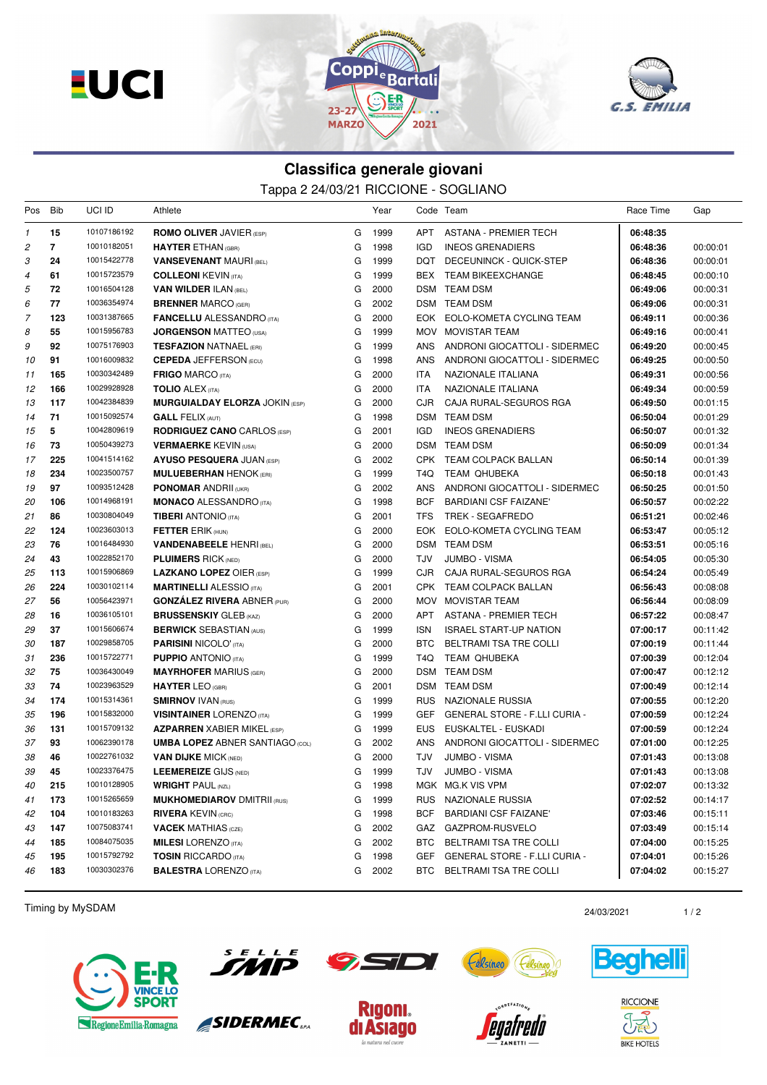**EUCI** 





## **Classifica generale giovani** Tappa 2 24/03/21 RICCIONE - SOGLIANO

| Pos          | Bib            | UCI ID                     | Athlete                                                               |        | Year         |            | Code Team                                         | Race Time            | Gap                  |
|--------------|----------------|----------------------------|-----------------------------------------------------------------------|--------|--------------|------------|---------------------------------------------------|----------------------|----------------------|
| $\mathcal I$ | 15             | 10107186192                | <b>ROMO OLIVER JAVIER (ESP)</b>                                       | G      | 1999         | APT        | <b>ASTANA - PREMIER TECH</b>                      | 06:48:35             |                      |
| 2            | $\overline{7}$ | 10010182051                | <b>HAYTER ETHAN (GBR)</b>                                             | G      | 1998         | <b>IGD</b> | <b>INEOS GRENADIERS</b>                           | 06:48:36             | 00:00:01             |
| З            | 24             | 10015422778                | <b>VANSEVENANT MAURI (BEL)</b>                                        | G      | 1999         | DQT        | DECEUNINCK - QUICK-STEP                           | 06:48:36             | 00:00:01             |
| 4            | 61             | 10015723579                | <b>COLLEONI KEVIN (ITA)</b>                                           | G      | 1999         | <b>BEX</b> | <b>TEAM BIKEEXCHANGE</b>                          | 06:48:45             | 00:00:10             |
| 5            | 72             | 10016504128                | <b>VAN WILDER ILAN (BEL)</b>                                          | G      | 2000         |            | DSM TEAM DSM                                      | 06:49:06             | 00:00:31             |
| 6            | 77             | 10036354974                | <b>BRENNER MARCO (GER)</b>                                            | G      | 2002         |            | DSM TEAM DSM                                      | 06:49:06             | 00:00:31             |
| 7            | 123            | 10031387665                | <b>FANCELLU ALESSANDRO</b> (ITA)                                      | G      | 2000         |            | EOK EOLO-KOMETA CYCLING TEAM                      | 06:49:11             | 00:00:36             |
| 8            | 55             | 10015956783                | <b>JORGENSON MATTEO</b> (USA)                                         | G      | 1999         |            | MOV MOVISTAR TEAM                                 | 06:49:16             | 00:00:41             |
| 9            | 92             | 10075176903                | <b>TESFAZION NATNAEL (ERI)</b>                                        | G      | 1999         | ANS        | ANDRONI GIOCATTOLI - SIDERMEC                     | 06:49:20             | 00:00:45             |
| 10           | 91             | 10016009832                | <b>CEPEDA JEFFERSON (ECU)</b>                                         | G      | 1998         | <b>ANS</b> | ANDRONI GIOCATTOLI - SIDERMEC                     | 06:49:25             | 00:00:50             |
| 11           | 165            | 10030342489                | <b>FRIGO MARCO (ITA)</b>                                              | G      | 2000         | ITA        | NAZIONALE ITALIANA                                | 06:49:31             | 00:00:56             |
| 12           | 166            | 10029928928                | <b>TOLIO ALEX (ITA)</b>                                               | G      | 2000         | <b>ITA</b> | NAZIONALE ITALIANA                                | 06:49:34             | 00:00:59             |
| 13           | 117            | 10042384839                | <b>MURGUIALDAY ELORZA JOKIN (ESP)</b>                                 | G      | 2000         | <b>CJR</b> | CAJA RURAL-SEGUROS RGA                            | 06:49:50             | 00:01:15             |
| 14           | 71             | 10015092574                | <b>GALL FELIX (AUT)</b>                                               | G      | 1998         | <b>DSM</b> | <b>TEAM DSM</b>                                   | 06:50:04             | 00:01:29             |
| 15           | 5              | 10042809619                | <b>RODRIGUEZ CANO CARLOS (ESP)</b>                                    | G      | 2001         | IGD        | <b>INEOS GRENADIERS</b>                           | 06:50:07             | 00:01:32             |
| 16           | 73             | 10050439273                | <b>VERMAERKE KEVIN (USA)</b>                                          | G      | 2000         | <b>DSM</b> | <b>TEAM DSM</b>                                   | 06:50:09             | 00:01:34             |
| 17           | 225            | 10041514162                | <b>AYUSO PESQUERA JUAN (ESP)</b>                                      | G      | 2002         |            | CPK TEAM COLPACK BALLAN                           | 06:50:14             | 00:01:39             |
| 18           | 234            | 10023500757                | <b>MULUEBERHAN HENOK (ERI)</b>                                        | G      | 1999         | T4Q        | <b>TEAM QHUBEKA</b>                               | 06:50:18             | 00:01:43             |
| 19           | 97             | 10093512428                | <b>PONOMAR ANDRII (UKR)</b>                                           | G      | 2002         | <b>ANS</b> | ANDRONI GIOCATTOLI - SIDERMEC                     | 06:50:25             | 00:01:50             |
| 20           | 106            | 10014968191                | <b>MONACO ALESSANDRO (ITA)</b>                                        | G      | 1998         | <b>BCF</b> | <b>BARDIANI CSF FAIZANE'</b>                      | 06:50:57             | 00:02:22             |
| 21           | 86             | 10030804049                | <b>TIBERI ANTONIO</b> (ITA)                                           | G      | 2001         | <b>TFS</b> | <b>TREK - SEGAFREDO</b>                           | 06:51:21             | 00:02:46             |
| 22           | 124            | 10023603013                | <b>FETTER ERIK (HUN)</b>                                              | G      | 2000         | <b>EOK</b> | EOLO-KOMETA CYCLING TEAM                          | 06:53:47             | 00:05:12             |
| 23           | 76             | 10016484930                | <b>VANDENABEELE HENRI (BEL)</b>                                       | G      | 2000         | DSM        | TEAM DSM                                          | 06:53:51             | 00:05:16             |
| 24           | 43             | 10022852170<br>10015906869 | <b>PLUIMERS RICK (NED)</b>                                            | G      | 2000         | TJV        | <b>JUMBO - VISMA</b>                              | 06:54:05             | 00:05:30             |
| 25           | 113<br>224     | 10030102114                | <b>LAZKANO LOPEZ OIER (ESP)</b>                                       | G<br>G | 1999<br>2001 | <b>CJR</b> | CAJA RURAL-SEGUROS RGA                            | 06:54:24             | 00:05:49             |
| 26           | 56             | 10056423971                | <b>MARTINELLI ALESSIO (ITA)</b><br><b>GONZÁLEZ RIVERA ABNER (PUR)</b> |        | 2000         |            | CPK TEAM COLPACK BALLAN                           | 06:56:43             | 00:08:08             |
| 27<br>28     | 16             | 10036105101                | <b>BRUSSENSKIY GLEB (KAZ)</b>                                         | G<br>G | 2000         | <b>APT</b> | MOV MOVISTAR TEAM<br><b>ASTANA - PREMIER TECH</b> | 06:56:44<br>06:57:22 | 00:08:09<br>00:08:47 |
| 29           | 37             | 10015606674                | <b>BERWICK SEBASTIAN (AUS)</b>                                        | G      | 1999         | <b>ISN</b> | <b>ISRAEL START-UP NATION</b>                     | 07:00:17             | 00:11:42             |
| 30           | 187            | 10029858705                | <b>PARISINI NICOLO' (ITA)</b>                                         | G      | 2000         | <b>BTC</b> | BELTRAMI TSA TRE COLLI                            | 07:00:19             | 00:11:44             |
| 31           | 236            | 10015722771                | <b>PUPPIO ANTONIO (ITA)</b>                                           | G      | 1999         | T4Q        | <b>TEAM QHUBEKA</b>                               | 07:00:39             | 00:12:04             |
| 32           | 75             | 10036430049                | <b>MAYRHOFER MARIUS (GER)</b>                                         | G      | 2000         | <b>DSM</b> | <b>TEAM DSM</b>                                   | 07:00:47             | 00:12:12             |
| 33           | 74             | 10023963529                | <b>HAYTER LEO (GBR)</b>                                               | G      | 2001         | DSM        | TEAM DSM                                          | 07:00:49             | 00:12:14             |
| 34           | 174            | 10015314361                | <b>SMIRNOV IVAN (RUS)</b>                                             | G      | 1999         | <b>RUS</b> | NAZIONALE RUSSIA                                  | 07:00:55             | 00:12:20             |
| 35           | 196            | 10015832000                | <b>VISINTAINER LORENZO (ITA)</b>                                      | G      | 1999         | <b>GEF</b> | <b>GENERAL STORE - F.LLI CURIA -</b>              | 07:00:59             | 00:12:24             |
| 36           | 131            | 10015709132                | <b>AZPARREN</b> XABIER MIKEL (ESP)                                    | G      | 1999         | <b>EUS</b> | EUSKALTEL - EUSKADI                               | 07:00:59             | 00:12:24             |
| 37           | 93             | 10062390178                | <b>UMBA LOPEZ ABNER SANTIAGO (COL)</b>                                | G      | 2002         | ANS        | ANDRONI GIOCATTOLI - SIDERMEC                     | 07:01:00             | 00:12:25             |
| 38           | 46             | 10022761032                | <b>VAN DIJKE MICK (NED)</b>                                           | G      | 2000         | TJV        | <b>JUMBO - VISMA</b>                              | 07:01:43             | 00:13:08             |
| 39           | 45             | 10023376475                | <b>LEEMEREIZE GIJS (NED)</b>                                          | G      | 1999         | TJV        | <b>JUMBO - VISMA</b>                              | 07:01:43             | 00:13:08             |
| 40           | 215            | 10010128905                | <b>WRIGHT PAUL (NZL)</b>                                              | G      | 1998         |            | MGK MG.K VIS VPM                                  | 07:02:07             | 00:13:32             |
| 41           | 173            | 10015265659                | <b>MUKHOMEDIAROV DMITRII (RUS)</b>                                    | G      | 1999         | <b>RUS</b> | NAZIONALE RUSSIA                                  | 07:02:52             | 00:14:17             |
| 42           | 104            | 10010183263                | <b>RIVERA KEVIN (CRC)</b>                                             | G      | 1998         | <b>BCF</b> | <b>BARDIANI CSF FAIZANE'</b>                      | 07:03:46             | 00:15:11             |
| 43           | 147            | 10075083741                | <b>VACEK MATHIAS (CZE)</b>                                            | G      | 2002         |            | GAZ GAZPROM-RUSVELO                               | 07:03:49             | 00:15:14             |
| 44           | 185            | 10084075035                | <b>MILESI</b> LORENZO (ITA)                                           | G      | 2002         | BTC        | BELTRAMI TSA TRE COLLI                            | 07:04:00             | 00:15:25             |
| 45           | 195            | 10015792792                | <b>TOSIN RICCARDO</b> (ITA)                                           | G      | 1998         | <b>GEF</b> | <b>GENERAL STORE - F.LLI CURIA -</b>              | 07:04:01             | 00:15:26             |
| 46           | 183            | 10030302376                | <b>BALESTRA LORENZO (ITA)</b>                                         | G      | 2002         | BTC        | BELTRAMI TSA TRE COLLI                            | 07:04:02             | 00:15:27             |
|              |                |                            |                                                                       |        |              |            |                                                   |                      |                      |

Timing by MySDAM 24/03/2021 24/03/2021 25/2021 25/2021 25/2021 25/2021 25/2021 25/2021 25/2021 25/2021 25/2021





SIDERMEC<sub>SPA</sub>